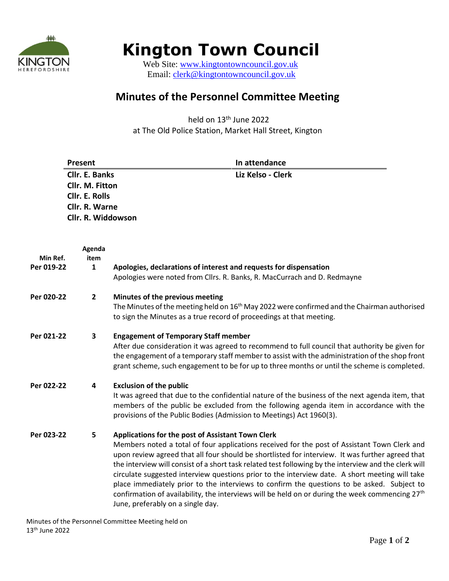

## **Kington Town Council**

Web Site: [www.kingtontowncouncil.gov.uk](http://www.kingtontowncouncil.gov.uk/) HEREFORDSHIRE WED DIC. THE MANUSCRIPTION MEREFORD SHIRE

## **Minutes of the Personnel Committee Meeting**

held on 13<sup>th</sup> June 2022 at The Old Police Station, Market Hall Street, Kington

|                        | Present               | In attendance                                                                                                                                                                                                                                                                                                                                                                                                                                                                                                                                                                                                                                                                                                      |  |
|------------------------|-----------------------|--------------------------------------------------------------------------------------------------------------------------------------------------------------------------------------------------------------------------------------------------------------------------------------------------------------------------------------------------------------------------------------------------------------------------------------------------------------------------------------------------------------------------------------------------------------------------------------------------------------------------------------------------------------------------------------------------------------------|--|
|                        | Cllr. E. Banks        | Liz Kelso - Clerk                                                                                                                                                                                                                                                                                                                                                                                                                                                                                                                                                                                                                                                                                                  |  |
|                        | Cllr. M. Fitton       |                                                                                                                                                                                                                                                                                                                                                                                                                                                                                                                                                                                                                                                                                                                    |  |
|                        | <b>Cllr. E. Rolls</b> |                                                                                                                                                                                                                                                                                                                                                                                                                                                                                                                                                                                                                                                                                                                    |  |
|                        |                       | Cllr. R. Warne                                                                                                                                                                                                                                                                                                                                                                                                                                                                                                                                                                                                                                                                                                     |  |
|                        | Cllr. R. Widdowson    |                                                                                                                                                                                                                                                                                                                                                                                                                                                                                                                                                                                                                                                                                                                    |  |
|                        | Agenda                |                                                                                                                                                                                                                                                                                                                                                                                                                                                                                                                                                                                                                                                                                                                    |  |
| Min Ref.<br>Per 019-22 | item<br>$\mathbf{1}$  | Apologies, declarations of interest and requests for dispensation                                                                                                                                                                                                                                                                                                                                                                                                                                                                                                                                                                                                                                                  |  |
|                        |                       | Apologies were noted from Cllrs. R. Banks, R. MacCurrach and D. Redmayne                                                                                                                                                                                                                                                                                                                                                                                                                                                                                                                                                                                                                                           |  |
| Per 020-22             | $\mathbf{2}$          | Minutes of the previous meeting                                                                                                                                                                                                                                                                                                                                                                                                                                                                                                                                                                                                                                                                                    |  |
|                        |                       | The Minutes of the meeting held on $16th$ May 2022 were confirmed and the Chairman authorised<br>to sign the Minutes as a true record of proceedings at that meeting.                                                                                                                                                                                                                                                                                                                                                                                                                                                                                                                                              |  |
| Per 021-22             | 3                     | <b>Engagement of Temporary Staff member</b><br>After due consideration it was agreed to recommend to full council that authority be given for<br>the engagement of a temporary staff member to assist with the administration of the shop front<br>grant scheme, such engagement to be for up to three months or until the scheme is completed.                                                                                                                                                                                                                                                                                                                                                                    |  |
| Per 022-22             | 4                     | <b>Exclusion of the public</b><br>It was agreed that due to the confidential nature of the business of the next agenda item, that<br>members of the public be excluded from the following agenda item in accordance with the<br>provisions of the Public Bodies (Admission to Meetings) Act 1960(3).                                                                                                                                                                                                                                                                                                                                                                                                               |  |
| Per 023-22             | 5                     | Applications for the post of Assistant Town Clerk<br>Members noted a total of four applications received for the post of Assistant Town Clerk and<br>upon review agreed that all four should be shortlisted for interview. It was further agreed that<br>the interview will consist of a short task related test following by the interview and the clerk will<br>circulate suggested interview questions prior to the interview date. A short meeting will take<br>place immediately prior to the interviews to confirm the questions to be asked. Subject to<br>confirmation of availability, the interviews will be held on or during the week commencing 27 <sup>th</sup><br>June, preferably on a single day. |  |